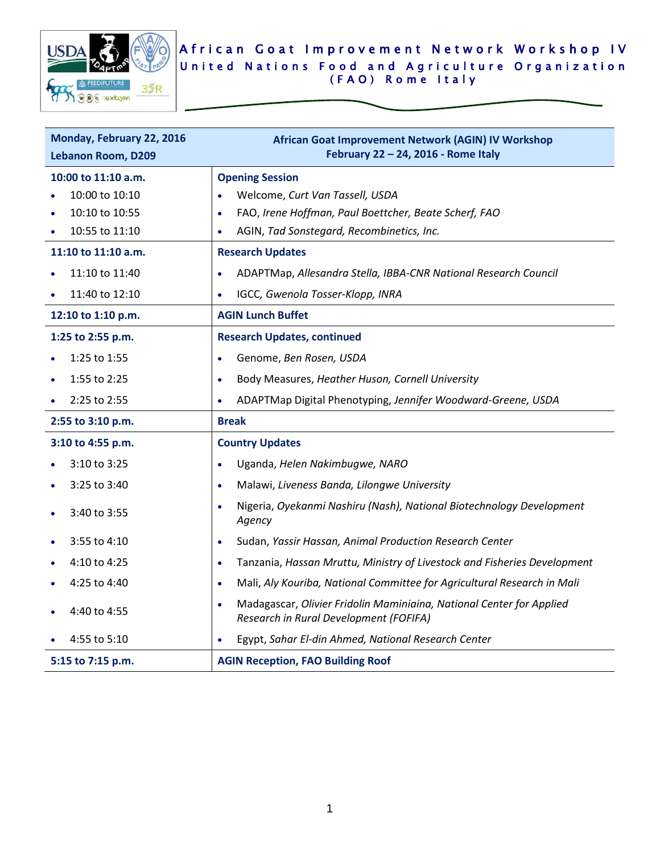

## African Goat Improvement Network Workshop IV United Nations Food and Agriculture Organization (FAO) Rome Italy

| Monday, February 22, 2016<br><b>Lebanon Room, D209</b> | African Goat Improvement Network (AGIN) IV Workshop<br>February 22 - 24, 2016 - Rome Italy                                  |
|--------------------------------------------------------|-----------------------------------------------------------------------------------------------------------------------------|
| 10:00 to 11:10 a.m.                                    | <b>Opening Session</b>                                                                                                      |
| 10:00 to 10:10                                         | Welcome, Curt Van Tassell, USDA                                                                                             |
| 10:10 to 10:55                                         | FAO, Irene Hoffman, Paul Boettcher, Beate Scherf, FAO<br>$\bullet$                                                          |
| 10:55 to 11:10                                         | AGIN, Tad Sonstegard, Recombinetics, Inc.<br>$\bullet$                                                                      |
| 11:10 to 11:10 a.m.                                    | <b>Research Updates</b>                                                                                                     |
| 11:10 to 11:40                                         | ADAPTMap, Allesandra Stella, IBBA-CNR National Research Council<br>$\bullet$                                                |
| 11:40 to 12:10                                         | IGCC, Gwenola Tosser-Klopp, INRA<br>$\bullet$                                                                               |
| 12:10 to 1:10 p.m.                                     | <b>AGIN Lunch Buffet</b>                                                                                                    |
| 1:25 to 2:55 p.m.                                      | <b>Research Updates, continued</b>                                                                                          |
| 1:25 to 1:55                                           | Genome, Ben Rosen, USDA<br>$\bullet$                                                                                        |
| 1:55 to 2:25                                           | Body Measures, Heather Huson, Cornell University<br>$\bullet$                                                               |
| 2:25 to 2:55                                           | ADAPTMap Digital Phenotyping, Jennifer Woodward-Greene, USDA<br>$\bullet$                                                   |
| 2:55 to 3:10 p.m.                                      | <b>Break</b>                                                                                                                |
| 3:10 to 4:55 p.m.                                      | <b>Country Updates</b>                                                                                                      |
| 3:10 to 3:25                                           | Uganda, Helen Nakimbugwe, NARO<br>$\bullet$                                                                                 |
| 3:25 to 3:40                                           | Malawi, Liveness Banda, Lilongwe University<br>$\bullet$                                                                    |
| 3:40 to 3:55                                           | Nigeria, Oyekanmi Nashiru (Nash), National Biotechnology Development<br>$\bullet$<br>Agency                                 |
| 3:55 to 4:10                                           | Sudan, Yassir Hassan, Animal Production Research Center<br>$\bullet$                                                        |
| 4:10 to 4:25                                           | Tanzania, Hassan Mruttu, Ministry of Livestock and Fisheries Development<br>$\bullet$                                       |
| 4:25 to 4:40                                           | Mali, Aly Kouriba, National Committee for Agricultural Research in Mali<br>$\bullet$                                        |
| 4:40 to 4:55                                           | Madagascar, Olivier Fridolin Maminiaina, National Center for Applied<br>$\bullet$<br>Research in Rural Development (FOFIFA) |
| 4:55 to 5:10                                           | Egypt, Sahar El-din Ahmed, National Research Center<br>$\bullet$                                                            |
| 5:15 to 7:15 p.m.                                      | <b>AGIN Reception, FAO Building Roof</b>                                                                                    |